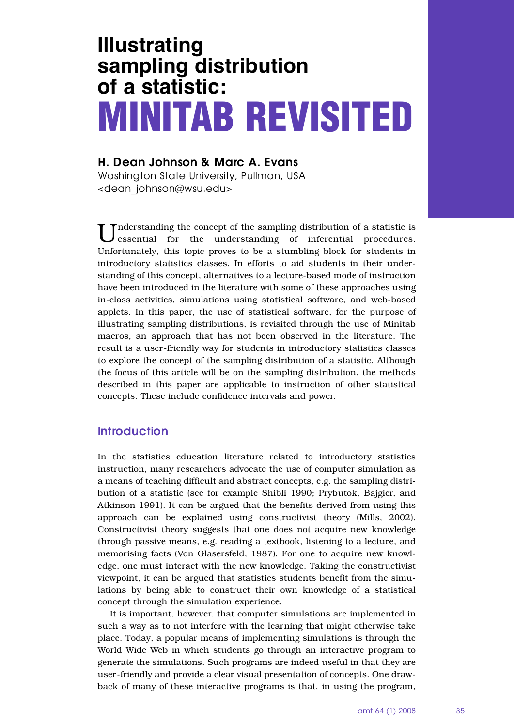# **Illustrating sampling distribution of a statistic: MINITAB REVISITED**

# **H. Dean Johnson & Marc A. Evans**

Washington State University, Pullman, USA <dean\_johnson@wsu.edu>

Understanding the concept of the sampling distribution of a statistic is essential for the understanding of inferential procedures. Unfortunately, this topic proves to be a stumbling block for students in introductory statistics classes. In efforts to aid students in their understanding of this concept, alternatives to a lecture-based mode of instruction have been introduced in the literature with some of these approaches using in-class activities, simulations using statistical software, and web-based applets. In this paper, the use of statistical software, for the purpose of illustrating sampling distributions, is revisited through the use of Minitab macros, an approach that has not been observed in the literature. The result is a user-friendly way for students in introductory statistics classes to explore the concept of the sampling distribution of a statistic. Although the focus of this article will be on the sampling distribution, the methods described in this paper are applicable to instruction of other statistical concepts. These include confidence intervals and power.

# **Introduction**

In the statistics education literature related to introductory statistics instruction, many researchers advocate the use of computer simulation as a means of teaching difficult and abstract concepts, e.g. the sampling distribution of a statistic (see for example Shibli 1990; Prybutok, Bajgier, and Atkinson 1991). It can be argued that the benefits derived from using this approach can be explained using constructivist theory (Mills, 2002). Constructivist theory suggests that one does not acquire new knowledge through passive means, e.g. reading a textbook, listening to a lecture, and memorising facts (Von Glasersfeld, 1987). For one to acquire new knowledge, one must interact with the new knowledge. Taking the constructivist viewpoint, it can be argued that statistics students benefit from the simulations by being able to construct their own knowledge of a statistical concept through the simulation experience.

It is important, however, that computer simulations are implemented in such a way as to not interfere with the learning that might otherwise take place. Today, a popular means of implementing simulations is through the World Wide Web in which students go through an interactive program to generate the simulations. Such programs are indeed useful in that they are user-friendly and provide a clear visual presentation of concepts. One drawback of many of these interactive programs is that, in using the program,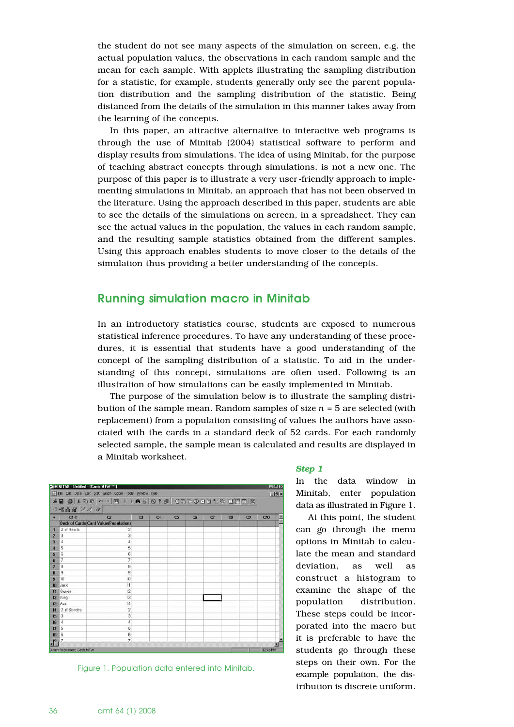the student do not see many aspects of the simulation on screen, e.g. the actual population values, the observations in each random sample and the mean for each sample. With applets illustrating the sampling distribution for a statistic, for example, students generally only see the parent population distribution and the sampling distribution of the statistic. Being distanced from the details of the simulation in this manner takes away from the learning of the concepts.

In this paper, an attractive alternative to interactive web programs is through the use of Minitab (2004) statistical software to perform and display results from simulations. The idea of using Minitab, for the purpose of teaching abstract concepts through simulations, is not a new one. The purpose of this paper is to illustrate a very user-friendly approach to implementing simulations in Minitab, an approach that has not been observed in the literature. Using the approach described in this paper, students are able to see the details of the simulations on screen, in a spreadsheet. They can see the actual values in the population, the values in each random sample, and the resulting sample statistics obtained from the different samples. Using this approach enables students to move closer to the details of the simulation thus providing a better understanding of the concepts.

## **Running simulation macro in Minitab**

In an introductory statistics course, students are exposed to numerous statistical inference procedures. To have any understanding of these procedures, it is essential that students have a good understanding of the concept of the sampling distribution of a statistic. To aid in the understanding of this concept, simulations are often used. Following is an illustration of how simulations can be easily implemented in Minitab.

The purpose of the simulation below is to illustrate the sampling distribution of the sample mean. Random samples of size *n* = 5 are selected (with replacement) from a population consisting of values the authors have associated with the cards in a standard deck of 52 cards. For each randomly selected sample, the sample mean is calculated and results are displayed in a Minitab worksheet.

|                           |                | El Elle Edit Data Calc Stat Graph Egitor Tools Window Help                                                |    |    |    |           |    |    |    | <b>JEIX</b> |
|---------------------------|----------------|-----------------------------------------------------------------------------------------------------------|----|----|----|-----------|----|----|----|-------------|
|                           |                | 全日 @   上功直   < ○   閏   1   ▲ ☆   ⊙ ? d   + 5 0 0 0 0 1 1 ☆ 日面       1 1 1 ☆   日面       1 ☆   日面       1 ☆ |    |    |    |           |    |    |    |             |
|                           | -2唱曲留 はは Q     |                                                                                                           |    |    |    |           |    |    |    |             |
| $\mathbf{F}$              | $C1.$ T        | C <sub>2</sub>                                                                                            | C3 | C4 | C5 | <b>OS</b> | C1 | C8 | C9 | C10<br>Ξ    |
|                           |                | <b>Deck of Cards Card Value(Population)</b>                                                               |    |    |    |           |    |    |    |             |
| n                         | 2 of Hearts    | 2                                                                                                         |    |    |    |           |    |    |    |             |
| 2                         | 3              | 3                                                                                                         |    |    |    |           |    |    |    |             |
| з                         | ۷              | 4                                                                                                         |    |    |    |           |    |    |    |             |
|                           | 5              | 5                                                                                                         |    |    |    |           |    |    |    |             |
| 5                         | G              | 6                                                                                                         |    |    |    |           |    |    |    |             |
| 6                         | 7              | 7                                                                                                         |    |    |    |           |    |    |    |             |
|                           | 8              | 8                                                                                                         |    |    |    |           |    |    |    |             |
|                           | 9              | 9                                                                                                         |    |    |    |           |    |    |    |             |
| $\mathbf{q}$              | 10             | 10                                                                                                        |    |    |    |           |    |    |    |             |
| 10                        | Jack           | 11                                                                                                        |    |    |    |           |    |    |    |             |
| 11                        | Queen          | 12                                                                                                        |    |    |    |           |    |    |    |             |
| 12                        | King           | 13                                                                                                        |    |    |    |           |    |    |    |             |
| 13                        | Ace            | 14                                                                                                        |    |    |    |           |    |    |    |             |
| 14                        | 2 of Spades    | $\overline{2}$                                                                                            |    |    |    |           |    |    |    |             |
| 15                        | $\overline{3}$ |                                                                                                           |    |    |    |           |    |    |    |             |
| 16                        | z              | ă                                                                                                         |    |    |    |           |    |    |    |             |
| 17                        | 5              | 5                                                                                                         |    |    |    |           |    |    |    |             |
| 18                        | S.             | 6                                                                                                         |    |    |    |           |    |    |    |             |
| $\mathbf{I}^{\mathbf{a}}$ | 7              | $\overline{z}$                                                                                            |    |    |    |           |    |    |    |             |

Figure 1. Population data entered into Minitab.

#### *Step 1*

In the data window in Minitab, enter population data as illustrated in Figure 1.

At this point, the student can go through the menu options in Minitab to calculate the mean and standard deviation, as well as construct a histogram to examine the shape of the population distribution. These steps could be incorporated into the macro but it is preferable to have the students go through these steps on their own. For the example population, the distribution is discrete uniform.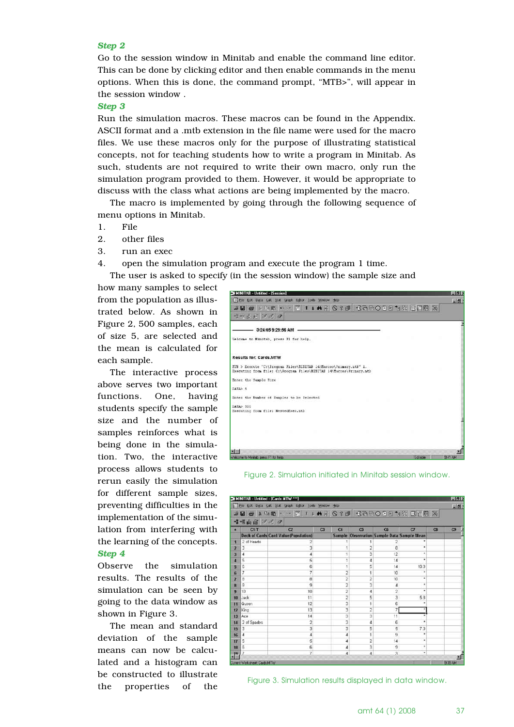#### *Step 2*

Go to the session window in Minitab and enable the command line editor. This can be done by clicking editor and then enable commands in the menu options. When this is done, the command prompt, "MTB>", will appear in the session window .

*Step 3*

Run the simulation macros. These macros can be found in the Appendix. ASCII format and a .mtb extension in the file name were used for the macro files. We use these macros only for the purpose of illustrating statistical concepts, not for teaching students how to write a program in Minitab. As such, students are not required to write their own macro, only run the simulation program provided to them. However, it would be appropriate to discuss with the class what actions are being implemented by the macro.

The macro is implemented by going through the following sequence of menu options in Minitab.

- 1. File
- 2. other files
- 3. run an exec

4. open the simulation program and execute the program 1 time.

The user is asked to specify (in the session window) the sample size and

how many samples to select from the population as illustrated below. As shown in Figure 2, 500 samples, each of size 5, are selected and the mean is calculated for each sample.

The interactive process above serves two important functions. One, having students specify the sample size and the number of samples reinforces what is being done in the simulation. Two, the interactive process allows students to rerun easily the simulation for different sample sizes, preventing difficulties in the implementation of the simulation from interfering with the learning of the concepts. *Step 4*

Observe the simulation results. The results of the simulation can be seen by going to the data window as shown in Figure 3.

The mean and standard deviation of the sample means can now be calculated and a histogram can be constructed to illustrate the properties of the



Figure 2. Simulation initiated in Minitab session window.

|                       |                              | Ell Elle Edit Data Calc Stat Graph Editor Tools Window Help |                      |                |                |                                            |    | <b>Alain</b> |
|-----------------------|------------------------------|-------------------------------------------------------------|----------------------|----------------|----------------|--------------------------------------------|----|--------------|
|                       | -2-2 山宿 万万 〇                 | XIB X DB O D T I A R O ? J C R B O D E D K E E R X          |                      |                |                |                                            |    |              |
| z.                    | $C1.$ T                      | C <sub>2</sub>                                              | C3<br>C <sub>4</sub> | C <sub>5</sub> | <b>C6</b>      | $\sigma$                                   | C8 | C3           |
|                       |                              | Deck of Cards Card Value (Population)                       |                      |                |                | Sample Observation Sample Data Sample Mean |    |              |
| п                     | 2 of Hearts                  |                                                             |                      |                |                |                                            |    |              |
| 2                     | э                            | 3                                                           |                      |                | 8              | ٠                                          |    |              |
| з                     | 4                            | 4                                                           |                      | з              | 12             | ٠                                          |    |              |
|                       | 5                            | 5                                                           |                      | 4              | 14             | ٠                                          |    |              |
| 5                     | 6                            | 6                                                           |                      | 5              | 14             | 10.0                                       |    |              |
| G                     | 7                            | 7                                                           | 2                    | 1              | 10             | ٠                                          |    |              |
| 7                     | 8                            | 8                                                           |                      |                | 10             | ٠                                          |    |              |
| я                     | 9                            | 9                                                           | 2                    | э              | 4              | ٠                                          |    |              |
| 9                     | 10                           | 10                                                          | $\overline{2}$       | 4              | $\overline{2}$ | ٠                                          |    |              |
| 10                    | Jack                         | 11                                                          | 2                    | 5              | 3              | 5.8                                        |    |              |
| 11                    | Queen                        | 12                                                          | 3                    |                | Ė              | ٠                                          |    |              |
| 12                    | King                         | 13                                                          | 3                    | ż              | 7              |                                            |    |              |
| 13                    | Ace                          | 14                                                          | 3                    | 3              | 11             |                                            |    |              |
| 14                    | 2 of Spades                  | $\overline{2}$                                              | 3                    | 4              | 6              | ٠                                          |    |              |
| 15                    | э                            | 3                                                           | 3                    | 5              | 5              | 7.0                                        |    |              |
| 16                    | d                            | 4                                                           | 4                    |                | 9              | ٠                                          |    |              |
| 17                    | 5                            | 5                                                           | 4                    |                | 14             | ٠                                          |    |              |
| 18                    | 6                            | 6                                                           | 4                    | 3              | 9              | ۰                                          |    |              |
|                       |                              | ٠                                                           | 4                    | ă              | 3              | ٠                                          |    |              |
| $\cdot$ <sup>19</sup> | Current Worksheet: Cards MTW |                                                             |                      |                |                |                                            |    | 9.39 AM      |

Figure 3. Simulation results displayed in data window.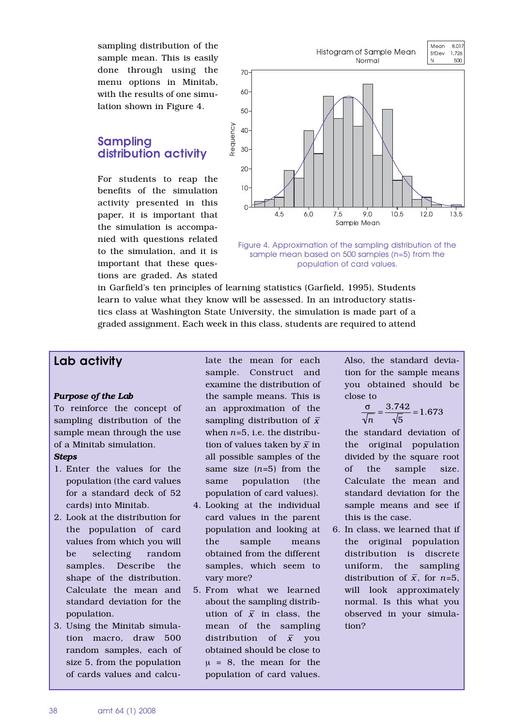sampling distribution of the sample mean. This is easily done through using the menu options in Minitab, with the results of one simulation shown in Figure 4.

## **Sampling distribution activity**

For students to reap the benefits of the simulation activity presented in this paper, it is important that the simulation is accompanied with questions related to the simulation, and it is important that these questions are graded. As stated





in Garfield's ten principles of learning statistics (Garfield, 1995), Students learn to value what they know will be assessed. In an introductory statistics class at Washington State University, the simulation is made part of a graded assignment. Each week in this class, students are required to attend

## **Lab activity**

#### *Purpose of the Lab*

To reinforce the concept of sampling distribution of the sample mean through the use of a Minitab simulation.

#### *Steps*

- 1. Enter the values for the population (the card values for a standard deck of 52 cards) into Minitab.
- 2. Look at the distribution for the population of card values from which you will be selecting random samples. Describe the shape of the distribution. Calculate the mean and standard deviation for the population.
- 3. Using the Minitab simulation macro, draw 500 random samples, each of size 5, from the population of cards values and calcu-

late the mean for each sample. Construct and examine the distribution of the sample means. This is an approximation of the sampling distribution of  $\bar{x}$ when *n*=5, i.e. the distribution of values taken by  $\bar{x}$  in all possible samples of the same size (*n*=5) from the same population (the population of card values).

- 4. Looking at the individual card values in the parent population and looking at the sample means obtained from the different samples, which seem to vary more?
- 5. From what we learned about the sampling distribution of  $\bar{x}$  in class, the mean of the sampling distribution of  $\bar{x}$  vou obtained should be close to  $\mu = 8$ , the mean for the population of card values.

Also, the standard deviation for the sample means you obtained should be close to

$$
\frac{\sigma}{\sqrt{n}} = \frac{3.742}{\sqrt{5}} = 1.673
$$

the standard deviation of the original population divided by the square root of the sample size. Calculate the mean and standard deviation for the sample means and see if this is the case.

6. In class, we learned that if the original population distribution is discrete uniform, the sampling distribution of  $\bar{x}$ , for *n*=5, will look approximately normal. Is this what you observed in your simulation?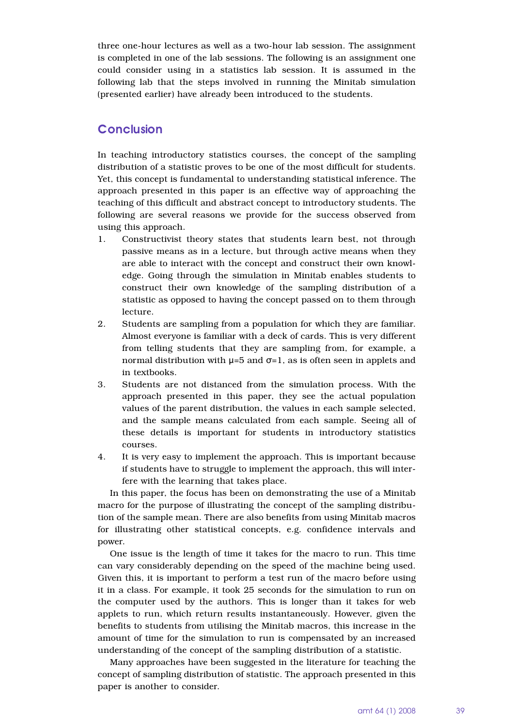three one-hour lectures as well as a two-hour lab session. The assignment is completed in one of the lab sessions. The following is an assignment one could consider using in a statistics lab session. It is assumed in the following lab that the steps involved in running the Minitab simulation (presented earlier) have already been introduced to the students.

## **Conclusion**

In teaching introductory statistics courses, the concept of the sampling distribution of a statistic proves to be one of the most difficult for students. Yet, this concept is fundamental to understanding statistical inference. The approach presented in this paper is an effective way of approaching the teaching of this difficult and abstract concept to introductory students. The following are several reasons we provide for the success observed from using this approach.

- 1. Constructivist theory states that students learn best, not through passive means as in a lecture, but through active means when they are able to interact with the concept and construct their own knowledge. Going through the simulation in Minitab enables students to construct their own knowledge of the sampling distribution of a statistic as opposed to having the concept passed on to them through lecture.
- 2. Students are sampling from a population for which they are familiar. Almost everyone is familiar with a deck of cards. This is very different from telling students that they are sampling from, for example, a normal distribution with  $\mu$ =5 and σ=1, as is often seen in applets and in textbooks.
- 3. Students are not distanced from the simulation process. With the approach presented in this paper, they see the actual population values of the parent distribution, the values in each sample selected, and the sample means calculated from each sample. Seeing all of these details is important for students in introductory statistics courses.
- 4. It is very easy to implement the approach. This is important because if students have to struggle to implement the approach, this will interfere with the learning that takes place.

In this paper, the focus has been on demonstrating the use of a Minitab macro for the purpose of illustrating the concept of the sampling distribution of the sample mean. There are also benefits from using Minitab macros for illustrating other statistical concepts, e.g. confidence intervals and power.

One issue is the length of time it takes for the macro to run. This time can vary considerably depending on the speed of the machine being used. Given this, it is important to perform a test run of the macro before using it in a class. For example, it took 25 seconds for the simulation to run on the computer used by the authors. This is longer than it takes for web applets to run, which return results instantaneously. However, given the benefits to students from utilising the Minitab macros, this increase in the amount of time for the simulation to run is compensated by an increased understanding of the concept of the sampling distribution of a statistic.

Many approaches have been suggested in the literature for teaching the concept of sampling distribution of statistic. The approach presented in this paper is another to consider.